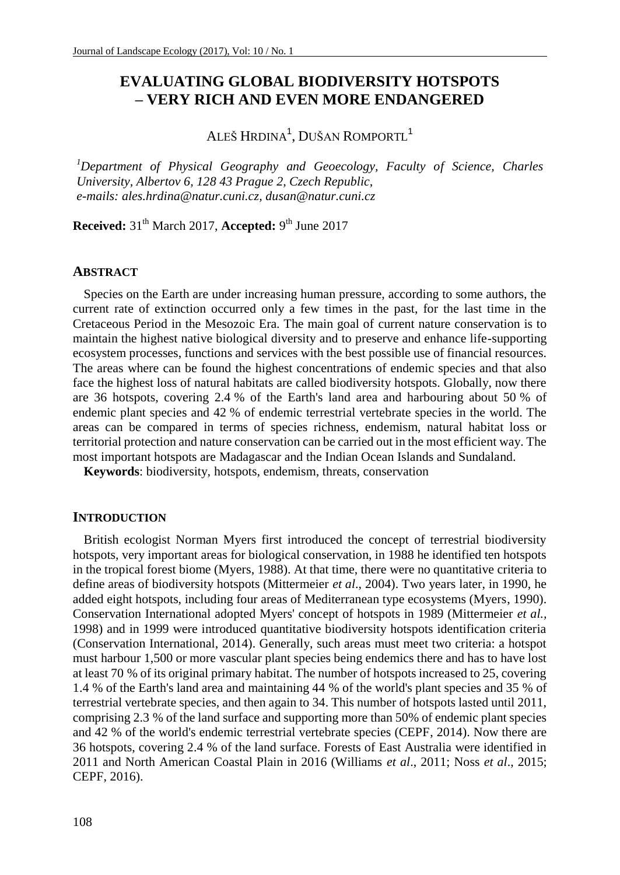# **EVALUATING GLOBAL BIODIVERSITY HOTSPOTS – VERY RICH AND EVEN MORE ENDANGERED**

ALEŠ HRDINA<sup>1</sup>, DUŠAN ROMPORTL<sup>1</sup>

<sup>1</sup>Department of Physical Geography and Geoecology, Faculty of Science, Charles *University, Albertov 6, 128 43 Prague 2, Czech Republic, e-mails: [ales.hrdina@natur.cuni.cz,](mailto:ales.hrdina@natur.cuni.cz) [dusan@natur.cuni.cz](mailto:dusan@natur.cuni.cz)*

**Received:** 31<sup>th</sup> March 2017, **Accepted:** 9<sup>th</sup> June 2017

## **ABSTRACT**

Species on the Earth are under increasing human pressure, according to some authors, the current rate of extinction occurred only a few times in the past, for the last time in the Cretaceous Period in the Mesozoic Era. The main goal of current nature conservation is to maintain the highest native biological diversity and to preserve and enhance life-supporting ecosystem processes, functions and services with the best possible use of financial resources. The areas where can be found the highest concentrations of endemic species and that also face the highest loss of natural habitats are called biodiversity hotspots. Globally, now there are 36 hotspots, covering 2.4 % of the Earth's land area and harbouring about 50 % of endemic plant species and 42 % of endemic terrestrial vertebrate species in the world. The areas can be compared in terms of species richness, endemism, natural habitat loss or territorial protection and nature conservation can be carried out in the most efficient way. The most important hotspots are Madagascar and the Indian Ocean Islands and Sundaland.

**Keywords**: biodiversity, hotspots, endemism, threats, conservation

## **INTRODUCTION**

British ecologist Norman Myers first introduced the concept of terrestrial biodiversity hotspots, very important areas for biological conservation, in 1988 he identified ten hotspots in the tropical forest biome (Myers, 1988). At that time, there were no quantitative criteria to define areas of biodiversity hotspots (Mittermeier *et al*., 2004). Two years later, in 1990, he added eight hotspots, including four areas of Mediterranean type ecosystems (Myers, 1990). Conservation International adopted Myers' concept of hotspots in 1989 (Mittermeier *et al.,* 1998) and in 1999 were introduced quantitative biodiversity hotspots identification criteria (Conservation International, 2014). Generally, such areas must meet two criteria: a hotspot must harbour 1,500 or more vascular plant species being endemics there and has to have lost at least 70 % of its original primary habitat. The number of hotspots increased to 25, covering 1.4 % of the Earth's land area and maintaining 44 % of the world's plant species and 35 % of terrestrial vertebrate species, and then again to 34. This number of hotspots lasted until 2011, comprising 2.3 % of the land surface and supporting more than 50% of endemic plant species and 42 % of the world's endemic terrestrial vertebrate species (CEPF, 2014). Now there are 36 hotspots, covering 2.4 % of the land surface. Forests of East Australia were identified in 2011 and North American Coastal Plain in 2016 (Williams *et al*., 2011; Noss *et al*., 2015; CEPF, 2016).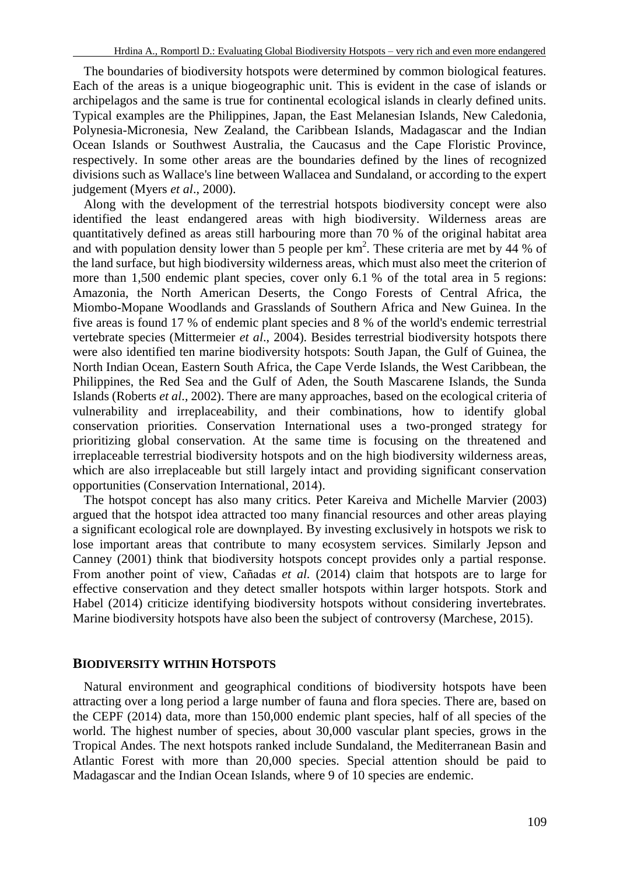The boundaries of biodiversity hotspots were determined by common biological features. Each of the areas is a unique biogeographic unit. This is evident in the case of islands or archipelagos and the same is true for continental ecological islands in clearly defined units. Typical examples are the Philippines, Japan, the East Melanesian Islands, New Caledonia, Polynesia-Micronesia, New Zealand, the Caribbean Islands, Madagascar and the Indian Ocean Islands or Southwest Australia, the Caucasus and the Cape Floristic Province, respectively. In some other areas are the boundaries defined by the lines of recognized divisions such as Wallace's line between Wallacea and Sundaland, or according to the expert judgement (Myers *et al*., 2000).

Along with the development of the terrestrial hotspots biodiversity concept were also identified the least endangered areas with high biodiversity. Wilderness areas are quantitatively defined as areas still harbouring more than 70 % of the original habitat area and with population density lower than 5 people per  $km<sup>2</sup>$ . These criteria are met by 44 % of the land surface, but high biodiversity wilderness areas, which must also meet the criterion of more than 1,500 endemic plant species, cover only 6.1 % of the total area in 5 regions: Amazonia, the North American Deserts, the Congo Forests of Central Africa, the Miombo-Mopane Woodlands and Grasslands of Southern Africa and New Guinea. In the five areas is found 17 % of endemic plant species and 8 % of the world's endemic terrestrial vertebrate species (Mittermeier *et al*., 2004). Besides terrestrial biodiversity hotspots there were also identified ten marine biodiversity hotspots: South Japan, the Gulf of Guinea, the North Indian Ocean, Eastern South Africa, the Cape Verde Islands, the West Caribbean, the Philippines, the Red Sea and the Gulf of Aden, the South Mascarene Islands, the Sunda Islands (Roberts *et al*., 2002). There are many approaches, based on the ecological criteria of vulnerability and irreplaceability, and their combinations, how to identify global conservation priorities. Conservation International uses a two-pronged strategy for prioritizing global conservation. At the same time is focusing on the threatened and irreplaceable terrestrial biodiversity hotspots and on the high biodiversity wilderness areas, which are also irreplaceable but still largely intact and providing significant conservation opportunities (Conservation International, 2014).

The hotspot concept has also many critics. Peter Kareiva and Michelle Marvier (2003) argued that the hotspot idea attracted too many financial resources and other areas playing a significant ecological role are downplayed. By investing exclusively in hotspots we risk to lose important areas that contribute to many ecosystem services. Similarly Jepson and Canney (2001) think that biodiversity hotspots concept provides only a partial response. From another point of view, Cañadas *et al.* (2014) claim that hotspots are to large for effective conservation and they detect smaller hotspots within larger hotspots. Stork and Habel (2014) criticize identifying biodiversity hotspots without considering invertebrates. Marine biodiversity hotspots have also been the subject of controversy (Marchese, 2015).

# **BIODIVERSITY WITHIN HOTSPOTS**

Natural environment and geographical conditions of biodiversity hotspots have been attracting over a long period a large number of fauna and flora species. There are, based on the CEPF (2014) data, more than 150,000 endemic plant species, half of all species of the world. The highest number of species, about 30,000 vascular plant species, grows in the Tropical Andes. The next hotspots ranked include Sundaland, the Mediterranean Basin and Atlantic Forest with more than 20,000 species. Special attention should be paid to Madagascar and the Indian Ocean Islands, where 9 of 10 species are endemic.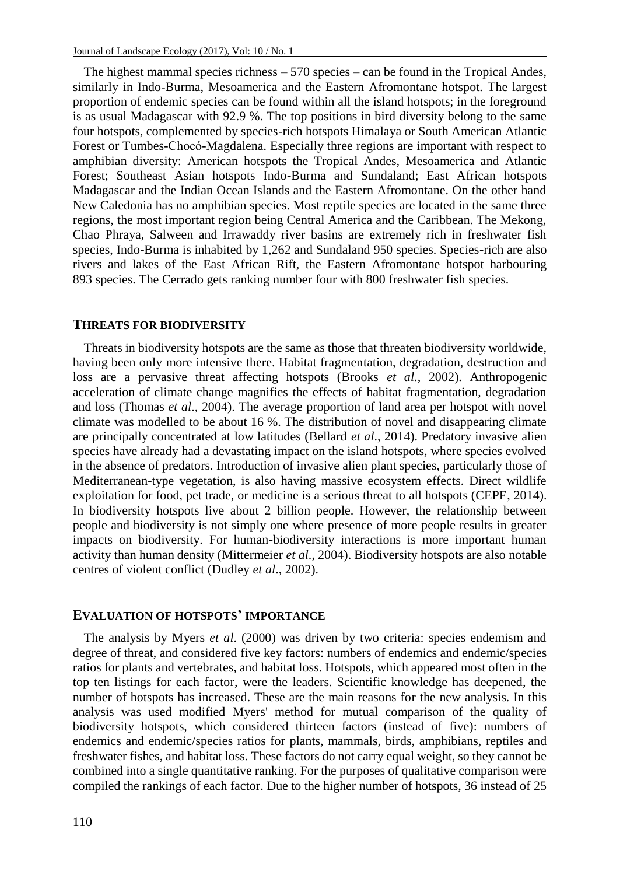The highest mammal species richness  $-570$  species  $-$  can be found in the Tropical Andes, similarly in Indo-Burma, Mesoamerica and the Eastern Afromontane hotspot. The largest proportion of endemic species can be found within all the island hotspots; in the foreground is as usual Madagascar with 92.9 %. The top positions in bird diversity belong to the same four hotspots, complemented by species-rich hotspots Himalaya or South American Atlantic Forest or Tumbes-Chocó-Magdalena. Especially three regions are important with respect to amphibian diversity: American hotspots the Tropical Andes, Mesoamerica and Atlantic Forest; Southeast Asian hotspots Indo-Burma and Sundaland; East African hotspots Madagascar and the Indian Ocean Islands and the Eastern Afromontane. On the other hand New Caledonia has no amphibian species. Most reptile species are located in the same three regions, the most important region being Central America and the Caribbean. The Mekong, Chao Phraya, Salween and Irrawaddy river basins are extremely rich in freshwater fish species, Indo-Burma is inhabited by 1,262 and Sundaland 950 species. Species-rich are also rivers and lakes of the East African Rift, the Eastern Afromontane hotspot harbouring 893 species. The Cerrado gets ranking number four with 800 freshwater fish species.

#### **THREATS FOR BIODIVERSITY**

Threats in biodiversity hotspots are the same as those that threaten biodiversity worldwide, having been only more intensive there. Habitat fragmentation, degradation, destruction and loss are a pervasive threat affecting hotspots (Brooks *et al.*, 2002). Anthropogenic acceleration of climate change magnifies the effects of habitat fragmentation, degradation and loss (Thomas *et al*., 2004). The average proportion of land area per hotspot with novel climate was modelled to be about 16 %. The distribution of novel and disappearing climate are principally concentrated at low latitudes (Bellard *et al*., 2014). Predatory invasive alien species have already had a devastating impact on the island hotspots, where species evolved in the absence of predators. Introduction of invasive alien plant species, particularly those of Mediterranean-type vegetation, is also having massive ecosystem effects. Direct wildlife exploitation for food, pet trade, or medicine is a serious threat to all hotspots (CEPF, 2014). In biodiversity hotspots live about 2 billion people. However, the relationship between people and biodiversity is not simply one where presence of more people results in greater impacts on biodiversity. For human-biodiversity interactions is more important human activity than human density (Mittermeier *et al*., 2004). Biodiversity hotspots are also notable centres of violent conflict (Dudley *et al*., 2002).

#### **EVALUATION OF HOTSPOTS' IMPORTANCE**

The analysis by Myers *et al*. (2000) was driven by two criteria: species endemism and degree of threat, and considered five key factors: numbers of endemics and endemic/species ratios for plants and vertebrates, and habitat loss. Hotspots, which appeared most often in the top ten listings for each factor, were the leaders. Scientific knowledge has deepened, the number of hotspots has increased. These are the main reasons for the new analysis. In this analysis was used modified Myers' method for mutual comparison of the quality of biodiversity hotspots, which considered thirteen factors (instead of five): numbers of endemics and endemic/species ratios for plants, mammals, birds, amphibians, reptiles and freshwater fishes, and habitat loss. These factors do not carry equal weight, so they cannot be combined into a single quantitative ranking. For the purposes of qualitative comparison were compiled the rankings of each factor. Due to the higher number of hotspots, 36 instead of 25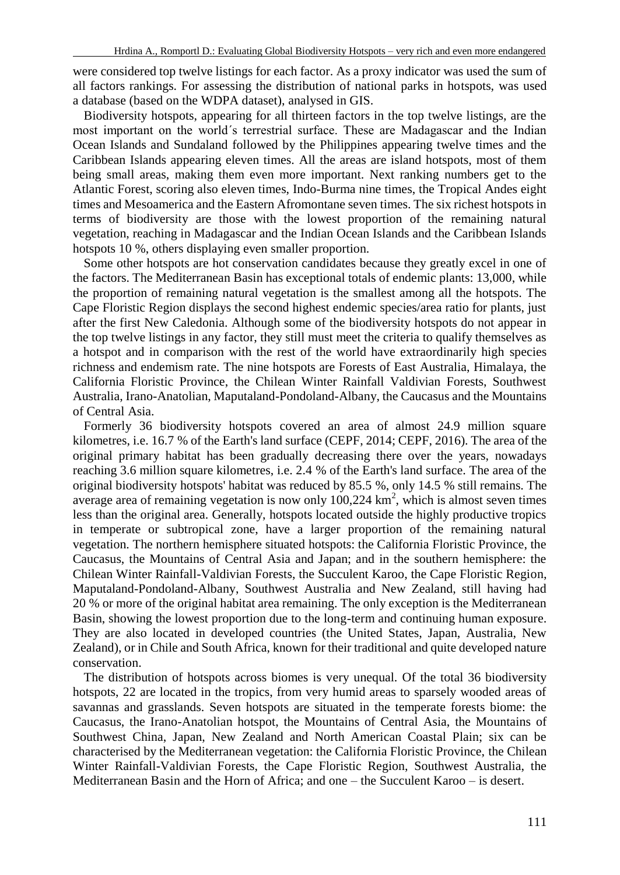were considered top twelve listings for each factor. As a proxy indicator was used the sum of all factors rankings. For assessing the distribution of national parks in hotspots, was used a database (based on the WDPA dataset), analysed in GIS.

Biodiversity hotspots, appearing for all thirteen factors in the top twelve listings, are the most important on the world´s terrestrial surface. These are Madagascar and the Indian Ocean Islands and Sundaland followed by the Philippines appearing twelve times and the Caribbean Islands appearing eleven times. All the areas are island hotspots, most of them being small areas, making them even more important. Next ranking numbers get to the Atlantic Forest, scoring also eleven times, Indo-Burma nine times, the Tropical Andes eight times and Mesoamerica and the Eastern Afromontane seven times. The six richest hotspots in terms of biodiversity are those with the lowest proportion of the remaining natural vegetation, reaching in Madagascar and the Indian Ocean Islands and the Caribbean Islands hotspots 10 %, others displaying even smaller proportion.

Some other hotspots are hot conservation candidates because they greatly excel in one of the factors. The Mediterranean Basin has exceptional totals of endemic plants: 13,000, while the proportion of remaining natural vegetation is the smallest among all the hotspots. The Cape Floristic Region displays the second highest endemic species/area ratio for plants, just after the first New Caledonia. Although some of the biodiversity hotspots do not appear in the top twelve listings in any factor, they still must meet the criteria to qualify themselves as a hotspot and in comparison with the rest of the world have extraordinarily high species richness and endemism rate. The nine hotspots are Forests of East Australia, Himalaya, the California Floristic Province, the Chilean Winter Rainfall Valdivian Forests, Southwest Australia, Irano-Anatolian, Maputaland-Pondoland-Albany, the Caucasus and the Mountains of Central Asia.

Formerly 36 biodiversity hotspots covered an area of almost 24.9 million square kilometres, i.e. 16.7 % of the Earth's land surface (CEPF, 2014; CEPF, 2016). The area of the original primary habitat has been gradually decreasing there over the years, nowadays reaching 3.6 million square kilometres, i.e. 2.4 % of the Earth's land surface. The area of the original biodiversity hotspots' habitat was reduced by 85.5 %, only 14.5 % still remains. The average area of remaining vegetation is now only  $100,224 \text{ km}^2$ , which is almost seven times less than the original area. Generally, hotspots located outside the highly productive tropics in temperate or subtropical zone, have a larger proportion of the remaining natural vegetation. The northern hemisphere situated hotspots: the California Floristic Province, the Caucasus, the Mountains of Central Asia and Japan; and in the southern hemisphere: the Chilean Winter Rainfall-Valdivian Forests, the Succulent Karoo, the Cape Floristic Region, Maputaland-Pondoland-Albany, Southwest Australia and New Zealand, still having had 20 % or more of the original habitat area remaining. The only exception is the Mediterranean Basin, showing the lowest proportion due to the long-term and continuing human exposure. They are also located in developed countries (the United States, Japan, Australia, New Zealand), or in Chile and South Africa, known for their traditional and quite developed nature conservation.

The distribution of hotspots across biomes is very unequal. Of the total 36 biodiversity hotspots, 22 are located in the tropics, from very humid areas to sparsely wooded areas of savannas and grasslands. Seven hotspots are situated in the temperate forests biome: the Caucasus, the Irano-Anatolian hotspot, the Mountains of Central Asia, the Mountains of Southwest China, Japan, New Zealand and North American Coastal Plain; six can be characterised by the Mediterranean vegetation: the California Floristic Province, the Chilean Winter Rainfall-Valdivian Forests, the Cape Floristic Region, Southwest Australia, the Mediterranean Basin and the Horn of Africa; and one – the Succulent Karoo – is desert.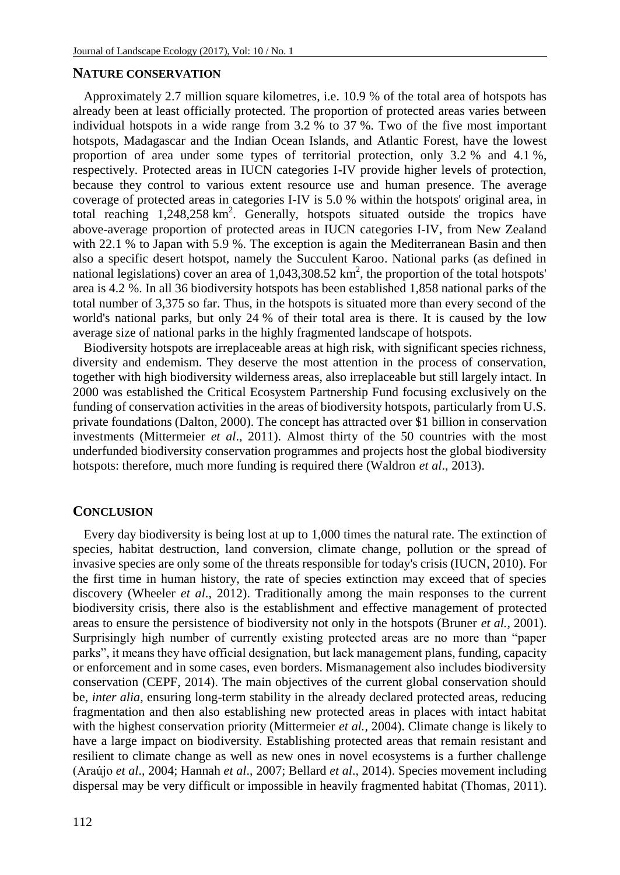# **NATURE CONSERVATION**

Approximately 2.7 million square kilometres, i.e. 10.9 % of the total area of hotspots has already been at least officially protected. The proportion of protected areas varies between individual hotspots in a wide range from 3.2 % to 37 %. Two of the five most important hotspots, Madagascar and the Indian Ocean Islands, and Atlantic Forest, have the lowest proportion of area under some types of territorial protection, only 3.2 % and 4.1 %, respectively. Protected areas in IUCN categories I-IV provide higher levels of protection, because they control to various extent resource use and human presence. The average coverage of protected areas in categories I-IV is 5.0 % within the hotspots' original area, in total reaching  $1,248,258 \text{ km}^2$ . Generally, hotspots situated outside the tropics have above-average proportion of protected areas in IUCN categories I-IV, from New Zealand with 22.1 % to Japan with 5.9 %. The exception is again the Mediterranean Basin and then also a specific desert hotspot, namely the Succulent Karoo. National parks (as defined in national legislations) cover an area of  $1,043,308.52 \text{ km}^2$ , the proportion of the total hotspots' area is 4.2 %. In all 36 biodiversity hotspots has been established 1,858 national parks of the total number of 3,375 so far. Thus, in the hotspots is situated more than every second of the world's national parks, but only 24 % of their total area is there. It is caused by the low average size of national parks in the highly fragmented landscape of hotspots.

Biodiversity hotspots are irreplaceable areas at high risk, with significant species richness, diversity and endemism. They deserve the most attention in the process of conservation, together with high biodiversity wilderness areas, also irreplaceable but still largely intact. In 2000 was established the Critical Ecosystem Partnership Fund focusing exclusively on the funding of conservation activities in the areas of biodiversity hotspots, particularly from U.S. private foundations (Dalton, 2000). The concept has attracted over \$1 billion in conservation investments (Mittermeier *et al*., 2011). Almost thirty of the 50 countries with the most underfunded biodiversity conservation programmes and projects host the global biodiversity hotspots: therefore, much more funding is required there (Waldron *et al*., 2013).

#### **CONCLUSION**

Every day biodiversity is being lost at up to 1,000 times the natural rate. The extinction of species, habitat destruction, land conversion, climate change, pollution or the spread of invasive species are only some of the threats responsible for today's crisis (IUCN, 2010). For the first time in human history, the rate of species extinction may exceed that of species discovery (Wheeler *et al*., 2012). Traditionally among the main responses to the current biodiversity crisis, there also is the establishment and effective management of protected areas to ensure the persistence of biodiversity not only in the hotspots (Bruner *et al.*, 2001). Surprisingly high number of currently existing protected areas are no more than "paper parks", it means they have official designation, but lack management plans, funding, capacity or enforcement and in some cases, even borders. Mismanagement also includes biodiversity conservation (CEPF, 2014). The main objectives of the current global conservation should be, *inter alia*, ensuring long-term stability in the already declared protected areas, reducing fragmentation and then also establishing new protected areas in places with intact habitat with the highest conservation priority (Mittermeier *et al.,* 2004). Climate change is likely to have a large impact on biodiversity. Establishing protected areas that remain resistant and resilient to climate change as well as new ones in novel ecosystems is a further challenge (Araújo *et al*., 2004; Hannah *et al*., 2007; Bellard *et al*., 2014). Species movement including dispersal may be very difficult or impossible in heavily fragmented habitat (Thomas, 2011).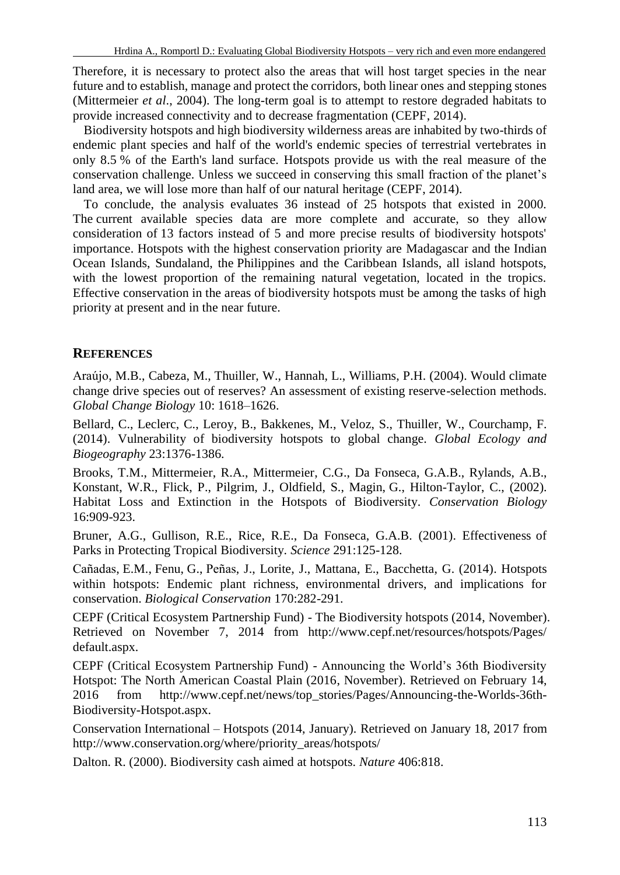Therefore, it is necessary to protect also the areas that will host target species in the near future and to establish, manage and protect the corridors, both linear ones and stepping stones (Mittermeier *et al*., 2004). The long-term goal is to attempt to restore degraded habitats to provide increased connectivity and to decrease fragmentation (CEPF, 2014).

Biodiversity hotspots and high biodiversity wilderness areas are inhabited by two-thirds of endemic plant species and half of the world's endemic species of terrestrial vertebrates in only 8.5 % of the Earth's land surface. Hotspots provide us with the real measure of the conservation challenge. Unless we succeed in conserving this small fraction of the planet's land area, we will lose more than half of our natural heritage (CEPF, 2014).

To conclude, the analysis evaluates 36 instead of 25 hotspots that existed in 2000. The current available species data are more complete and accurate, so they allow consideration of 13 factors instead of 5 and more precise results of biodiversity hotspots' importance. Hotspots with the highest conservation priority are Madagascar and the Indian Ocean Islands, Sundaland, the Philippines and the Caribbean Islands, all island hotspots, with the lowest proportion of the remaining natural vegetation, located in the tropics. Effective conservation in the areas of biodiversity hotspots must be among the tasks of high priority at present and in the near future.

# **REFERENCES**

Araújo, M.B., Cabeza, M., Thuiller, W., Hannah, L., Williams, P.H. (2004). Would climate change drive species out of reserves? An assessment of existing reserve-selection methods. *Global Change Biology* 10: 1618–1626.

Bellard, C., Leclerc, C., Leroy, B., Bakkenes, M., Veloz, S., Thuiller, W., Courchamp, F. (2014). Vulnerability of biodiversity hotspots to global change. *Global Ecology and Biogeography* 23:1376-1386.

Brooks, T.M., Mittermeier, R.A., Mittermeier, C.G., Da Fonseca, G.A.B., Rylands, A.B., Konstant, W.R., Flick, P., Pilgrim, J., Oldfield, S., Magin, G., Hilton-Taylor, C., (2002). Habitat Loss and Extinction in the Hotspots of Biodiversity. *Conservation Biology* 16:909-923.

Bruner, A.G., Gullison, R.E., Rice, R.E., Da Fonseca, G.A.B. (2001). Effectiveness of Parks in Protecting Tropical Biodiversity. *Science* 291:125-128.

Cañadas, E.M., Fenu, G., Peñas, J., Lorite, J., Mattana, E., Bacchetta, G. (2014). Hotspots within hotspots: Endemic plant richness, environmental drivers, and implications for conservation. *Biological Conservation* 170:282-291.

CEPF (Critical Ecosystem Partnership Fund) - The Biodiversity hotspots (2014, November). Retrieved on November 7, 2014 from http://www.cepf.net/resources/hotspots/Pages/ default.aspx.

CEPF (Critical Ecosystem Partnership Fund) - Announcing the World's 36th Biodiversity Hotspot: The North American Coastal Plain (2016, November). Retrieved on February 14, 2016 from http://www.cepf.net/news/top\_stories/Pages/Announcing-the-Worlds-36th-Biodiversity-Hotspot.aspx.

Conservation International – Hotspots (2014, January). Retrieved on January 18, 2017 from http://www.conservation.org/where/priority\_areas/hotspots/

Dalton. R. (2000). Biodiversity cash aimed at hotspots. *Nature* 406:818.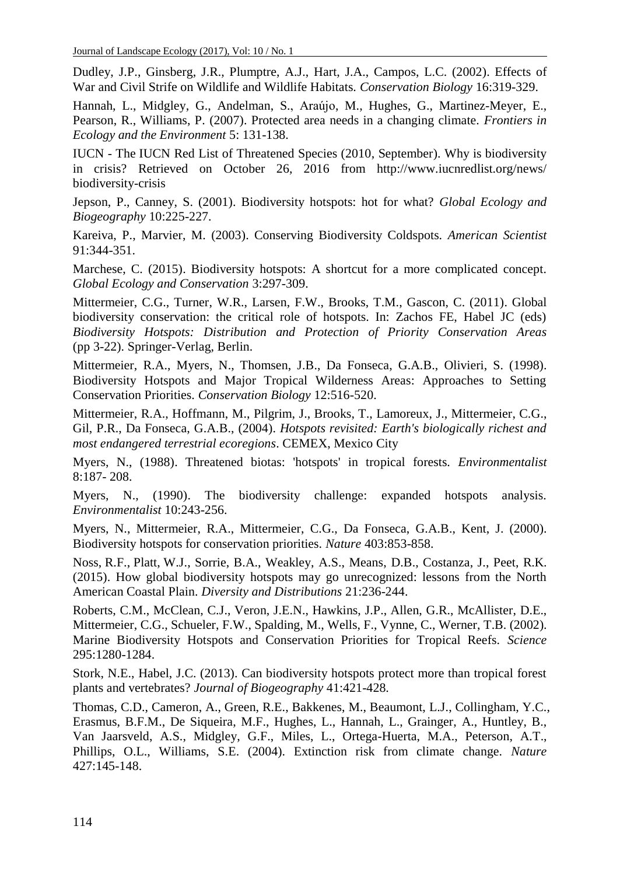Dudley, J.P., Ginsberg, J.R., Plumptre, A.J., Hart, J.A., Campos, L.C. (2002). Effects of War and Civil Strife on Wildlife and Wildlife Habitats. *Conservation Biology* 16:319-329.

Hannah, L., Midgley, G., Andelman, S., Araújo, M., Hughes, G., Martinez-Meyer, E., Pearson, R., Williams, P. (2007). Protected area needs in a changing climate. *Frontiers in Ecology and the Environment* 5: 131-138.

IUCN - The IUCN Red List of Threatened Species (2010, September). Why is biodiversity in crisis? Retrieved on October 26, 2016 from http://www.iucnredlist.org/news/ biodiversity-crisis

Jepson, P., Canney, S. (2001). Biodiversity hotspots: hot for what? *Global Ecology and Biogeography* 10:225-227.

Kareiva, P., Marvier, M. (2003). Conserving Biodiversity Coldspots. *American Scientist* 91:344-351.

Marchese, C. (2015). Biodiversity hotspots: A shortcut for a more complicated concept. *Global Ecology and Conservation* 3:297-309.

Mittermeier, C.G., Turner, W.R., Larsen, F.W., Brooks, T.M., Gascon, C. (2011). Global biodiversity conservation: the critical role of hotspots. In: Zachos FE, Habel JC (eds) *Biodiversity Hotspots: Distribution and Protection of Priority Conservation Areas* (pp 3-22). Springer-Verlag, Berlin.

Mittermeier, R.A., Myers, N., Thomsen, J.B., Da Fonseca, G.A.B., Olivieri, S. (1998). Biodiversity Hotspots and Major Tropical Wilderness Areas: Approaches to Setting Conservation Priorities. *Conservation Biology* 12:516-520.

Mittermeier, R.A., Hoffmann, M., Pilgrim, J., Brooks, T., Lamoreux, J., Mittermeier, C.G., Gil, P.R., Da Fonseca, G.A.B., (2004). *Hotspots revisited: Earth's biologically richest and most endangered terrestrial ecoregions*. CEMEX, Mexico City

Myers, N., (1988). Threatened biotas: 'hotspots' in tropical forests. *Environmentalist* 8:187- 208.

Myers, N., (1990). The biodiversity challenge: expanded hotspots analysis. *Environmentalist* 10:243-256.

Myers, N., Mittermeier, R.A., Mittermeier, C.G., Da Fonseca, G.A.B., Kent, J. (2000). Biodiversity hotspots for conservation priorities. *Nature* 403:853-858.

Noss, R.F., Platt, W.J., Sorrie, B.A., Weakley, A.S., Means, D.B., Costanza, J., Peet, R.K. (2015). How global biodiversity hotspots may go unrecognized: lessons from the North American Coastal Plain. *Diversity and Distributions* 21:236-244.

Roberts, C.M., McClean, C.J., Veron, J.E.N., Hawkins, J.P., Allen, G.R., McAllister, D.E., Mittermeier, C.G., Schueler, F.W., Spalding, M., Wells, F., Vynne, C., Werner, T.B. (2002). Marine Biodiversity Hotspots and Conservation Priorities for Tropical Reefs. *Science* 295:1280-1284.

Stork, N.E., Habel, J.C. (2013). Can biodiversity hotspots protect more than tropical forest plants and vertebrates? *Journal of Biogeography* 41:421-428.

Thomas, C.D., Cameron, A., Green, R.E., Bakkenes, M., Beaumont, L.J., Collingham, Y.C., Erasmus, B.F.M., De Siqueira, M.F., Hughes, L., Hannah, L., Grainger, A., Huntley, B., Van Jaarsveld, A.S., Midgley, G.F., Miles, L., Ortega-Huerta, M.A., Peterson, A.T., Phillips, O.L., Williams, S.E. (2004). Extinction risk from climate change. *Nature* 427:145-148.